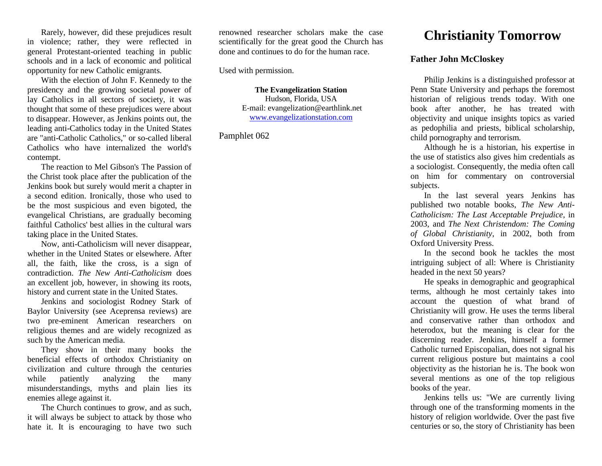Rarely, however, did these prejudices result in violence; rather, they were reflected in general Protestant-oriented teaching in public schools and in a lack of economic and political opportunity for new Catholic emigrants.

With the election of John F. Kennedy to the presidency and the growing societal power of lay Catholics in all sectors of society, it was thought that some of these prejudices were about to disappear. However, as Jenkins points out, the leading anti-Catholics today in the United States are "anti-Catholic Catholics," or so-called liberal Catholics who have internalized the world's contempt.

The reaction to Mel Gibson's The Passion of the Christ took place after the publication of the Jenkins book but surely would merit a chapter in a second edition. Ironically, those who used to be the most suspicious and even bigoted, the evangelical Christians, are gradually becoming faithful Catholics' best allies in the cultural wars taking place in the United States.

Now, anti-Catholicism will never disappear, whether in the United States or elsewhere. After all, the faith, like the cross, is a sign of contradiction. *The New Anti-Catholicism* does an excellent job, however, in showing its roots, history and current state in the United States.

Jenkins and sociologist Rodney Stark of Baylor University (see Aceprensa reviews) are two pre-eminent American researchers on religious themes and are widely recognized as such by the American media.

They show in their many books the beneficial effects of orthodox Christianity on civilization and culture through the centuries while patiently analyzing the many misunderstandings, myths and plain lies its enemies allege against it.

The Church continues to grow, and as such, it will always be subject to attack by those who hate it. It is encouraging to have two such

renowned researcher scholars make the case scientifically for the great good the Church has done and continues to do for the human race.

Used with permission.

**The Evangelization Station** Hudson, Florida, USA E-mail: evangelization@earthlink.net [www.evangelizationstation.com](http://www.pjpiisoe.org/)

Pamphlet 062

## **Christianity Tomorrow**

## **Father John McCloskey**

Philip Jenkins is a distinguished professor at Penn State University and perhaps the foremost historian of religious trends today. With one book after another, he has treated with objectivity and unique insights topics as varied as pedophilia and priests, biblical scholarship, child pornography and terrorism.

Although he is a historian, his expertise in the use of statistics also gives him credentials as a sociologist. Consequently, the media often call on him for commentary on controversial subjects.

In the last several years Jenkins has published two notable books, *The New Anti-Catholicism: The Last Acceptable Prejudice*, in 2003, and *The Next Christendom: The Coming of Global Christianity*, in 2002, both from Oxford University Press.

In the second book he tackles the most intriguing subject of all: Where is Christianity headed in the next 50 years?

He speaks in demographic and geographical terms, although he most certainly takes into account the question of what brand of Christianity will grow. He uses the terms liberal and conservative rather than orthodox and heterodox, but the meaning is clear for the discerning reader. Jenkins, himself a former Catholic turned Episcopalian, does not signal his current religious posture but maintains a cool objectivity as the historian he is. The book won several mentions as one of the top religious books of the year.

Jenkins tells us: "We are currently living through one of the transforming moments in the history of religion worldwide. Over the past five centuries or so, the story of Christianity has been